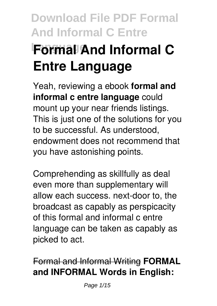# **Language Formal And Informal C Entre Language**

Yeah, reviewing a ebook **formal and informal c entre language** could mount up your near friends listings. This is just one of the solutions for you to be successful. As understood, endowment does not recommend that you have astonishing points.

Comprehending as skillfully as deal even more than supplementary will allow each success. next-door to, the broadcast as capably as perspicacity of this formal and informal c entre language can be taken as capably as picked to act.

Formal and Informal Writing **FORMAL and INFORMAL Words in English:**

Page 1/15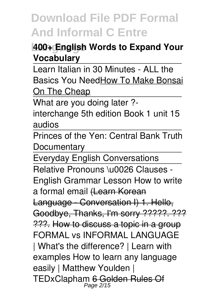#### **Language 400+ English Words to Expand Your Vocabulary**

Learn Italian in 30 Minutes - ALL the Basics You NeedHow To Make Bonsai On The Cheap

What are you doing later ?-

interchange 5th edition Book 1 unit 15 audios

Princes of the Yen: Central Bank Truth **Documentary** 

Everyday English Conversations

Relative Pronouns \u0026 Clauses - English Grammar Lesson How to write a formal email (Learn Korean Language - Conversation I) 1. Hello, Goodbye, Thanks, I'm sorry ?????. ??? ???. How to discuss a topic in a group FORMAL vs INFORMAL LANGUAGE | What's the difference? | Learn with examples How to learn any language easily | Matthew Youlden | TEDxClapham 6 Golden Rules Of Page 2/15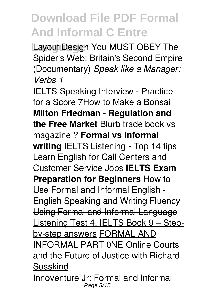**Layout Design You MUST OBEY The** Spider's Web: Britain's Second Empire (Documentary) *Speak like a Manager: Verbs 1*

IELTS Speaking Interview - Practice for a Score 7How to Make a Bonsai **Milton Friedman - Regulation and the Free Market** Blurb trade book vs magazine ? **Formal vs Informal writing** IELTS Listening - Top 14 tips! Learn English for Call Centers and Customer Service Jobs **IELTS Exam Preparation for Beginners** How to Use Formal and Informal English - English Speaking and Writing Fluency Using Formal and Informal Language Listening Test 4, IELTS Book 9 – Stepby-step answers FORMAL AND INFORMAL PART 0NE Online Courts and the Future of Justice with Richard Susskind

Innoventure Jr: Formal and Informal Page 3/15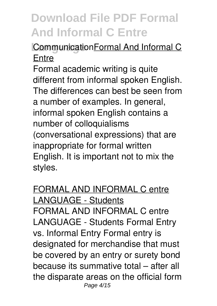### **CommunicationFormal And Informal C Entre**

Formal academic writing is quite different from informal spoken English. The differences can best be seen from a number of examples. In general, informal spoken English contains a number of colloquialisms (conversational expressions) that are inappropriate for formal written English. It is important not to mix the styles.

FORMAL AND INFORMAL C entre LANGUAGE - Students FORMAL AND INFORMAL C entre LANGUAGE - Students Formal Entry vs. Informal Entry Formal entry is designated for merchandise that must be covered by an entry or surety bond because its summative total – after all the disparate areas on the official form Page 4/15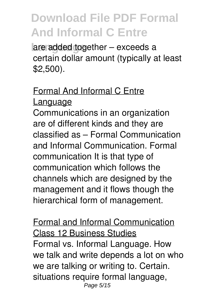are added together – exceeds a certain dollar amount (typically at least \$2,500).

#### Formal And Informal C Entre Language

Communications in an organization are of different kinds and they are classified as – Formal Communication and Informal Communication. Formal communication It is that type of communication which follows the channels which are designed by the management and it flows though the hierarchical form of management.

Formal and Informal Communication Class 12 Business Studies Formal vs. Informal Language. How we talk and write depends a lot on who we are talking or writing to. Certain. situations require formal language, Page 5/15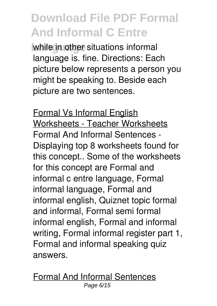**Language in other situations informal** language is. fine. Directions: Each picture below represents a person you might be speaking to. Beside each picture are two sentences.

Formal Vs Informal English Worksheets - Teacher Worksheets Formal And Informal Sentences - Displaying top 8 worksheets found for this concept.. Some of the worksheets for this concept are Formal and informal c entre language, Formal informal language, Formal and informal english, Quiznet topic formal and informal, Formal semi formal informal english, Formal and informal writing, Formal informal register part 1, Formal and informal speaking quiz answers.

Formal And Informal Sentences Page 6/15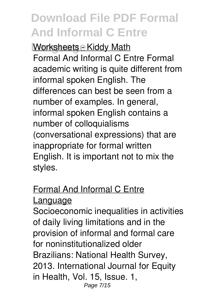**Worksheets - Kiddy Math** Formal And Informal C Entre Formal academic writing is quite different from informal spoken English. The differences can best be seen from a number of examples. In general, informal spoken English contains a number of colloquialisms (conversational expressions) that are inappropriate for formal written English. It is important not to mix the styles.

#### Formal And Informal C Entre Language

Socioeconomic inequalities in activities of daily living limitations and in the provision of informal and formal care for noninstitutionalized older Brazilians: National Health Survey, 2013. International Journal for Equity in Health, Vol. 15, Issue. 1, Page 7/15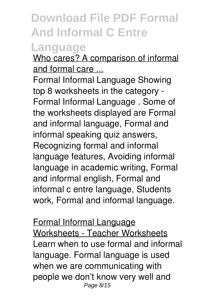### **Language**

Who cares? A comparison of informal and formal care ...

Formal Informal Language Showing top 8 worksheets in the category - Formal Informal Language . Some of the worksheets displayed are Formal and informal language, Formal and informal speaking quiz answers, Recognizing formal and informal language features, Avoiding informal language in academic writing, Formal and informal english, Formal and informal c entre language, Students work, Formal and informal language.

Formal Informal Language Worksheets - Teacher Worksheets Learn when to use formal and informal language. Formal language is used when we are communicating with people we don't know very well and Page 8/15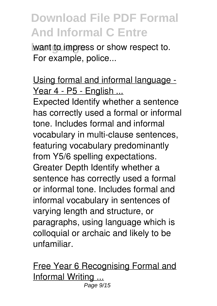**want to impress or show respect to.** For example, police...

Using formal and informal language - Year 4 - P5 - English ...

Expected Identify whether a sentence has correctly used a formal or informal tone. Includes formal and informal vocabulary in multi-clause sentences, featuring vocabulary predominantly from Y5/6 spelling expectations. Greater Depth Identify whether a sentence has correctly used a formal or informal tone. Includes formal and informal vocabulary in sentences of varying length and structure, or paragraphs, using language which is colloquial or archaic and likely to be unfamiliar.

Free Year 6 Recognising Formal and Informal Writing ... Page 9/15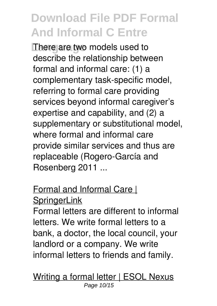**There are two models used to** describe the relationship between formal and informal care: (1) a complementary task-specific model, referring to formal care providing services beyond informal caregiver's expertise and capability, and (2) a supplementary or substitutional model, where formal and informal care provide similar services and thus are replaceable (Rogero-García and Rosenberg 2011 ...

### Formal and Informal Care | **SpringerLink**

Formal letters are different to informal letters. We write formal letters to a bank, a doctor, the local council, your landlord or a company. We write informal letters to friends and family.

Writing a formal letter | ESOL Nexus Page 10/15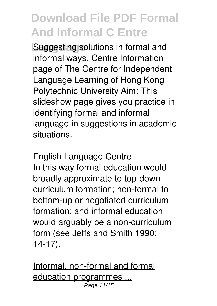**Language** Suggesting solutions in formal and informal ways. Centre Information page of The Centre for Independent Language Learning of Hong Kong Polytechnic University Aim: This slideshow page gives you practice in identifying formal and informal language in suggestions in academic situations.

#### English Language Centre

In this way formal education would broadly approximate to top-down curriculum formation; non-formal to bottom-up or negotiated curriculum formation; and informal education would arguably be a non-curriculum form (see Jeffs and Smith 1990: 14-17).

Informal, non-formal and formal education programmes ... Page 11/15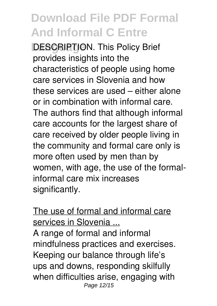**DESCRIPTION. This Policy Brief** provides insights into the characteristics of people using home care services in Slovenia and how these services are used – either alone or in combination with informal care. The authors find that although informal care accounts for the largest share of care received by older people living in the community and formal care only is more often used by men than by women, with age, the use of the formalinformal care mix increases significantly.

#### The use of formal and informal care services in Slovenia ...

A range of formal and informal mindfulness practices and exercises. Keeping our balance through life's ups and downs, responding skilfully when difficulties arise, engaging with Page 12/15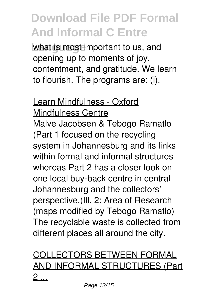what is most important to us, and opening up to moments of joy, contentment, and gratitude. We learn to flourish. The programs are: (i).

#### Learn Mindfulness - Oxford Mindfulness Centre

Malve Jacobsen & Tebogo Ramatlo (Part 1 focused on the recycling system in Johannesburg and its links within formal and informal structures whereas Part 2 has a closer look on one local buy-back centre in central Johannesburg and the collectors' perspective.)Ill. 2: Area of Research (maps modified by Tebogo Ramatlo) The recyclable waste is collected from different places all around the city.

### COLLECTORS BETWEEN FORMAL AND INFORMAL STRUCTURES (Part  $2 \dots$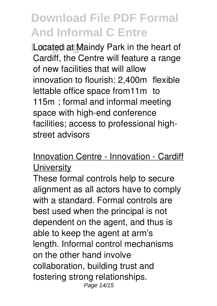Located at Maindy Park in the heart of Cardiff, the Centre will feature a range of new facilities that will allow innovation to flourish: 2,400m² flexible lettable office space from11m² to 115m²; formal and informal meeting space with high-end conference facilities; access to professional highstreet advisors

Innovation Centre - Innovation - Cardiff **University** 

These formal controls help to secure alignment as all actors have to comply with a standard. Formal controls are best used when the principal is not dependent on the agent, and thus is able to keep the agent at arm's length. Informal control mechanisms on the other hand involve collaboration, building trust and fostering strong relationships. Page 14/15